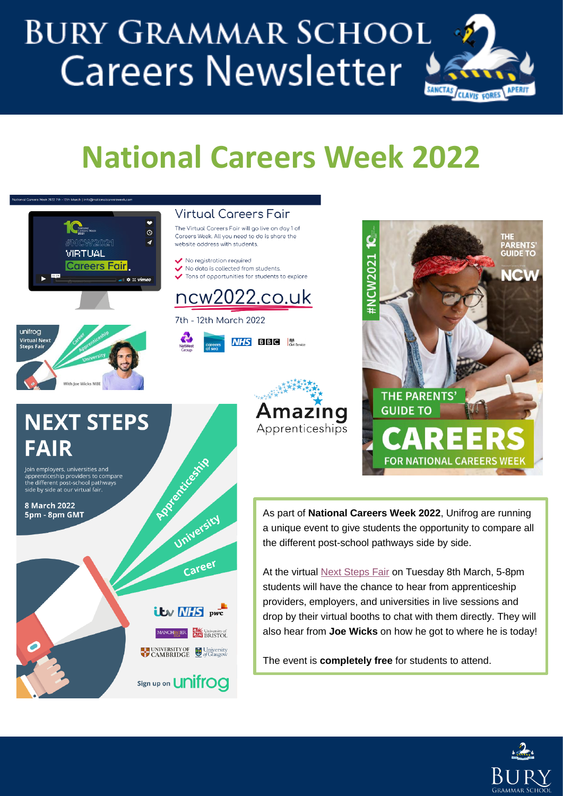# **BURY GRAMMAR SCHOOL Careers Newsletter**



## **National Careers Week 2022**



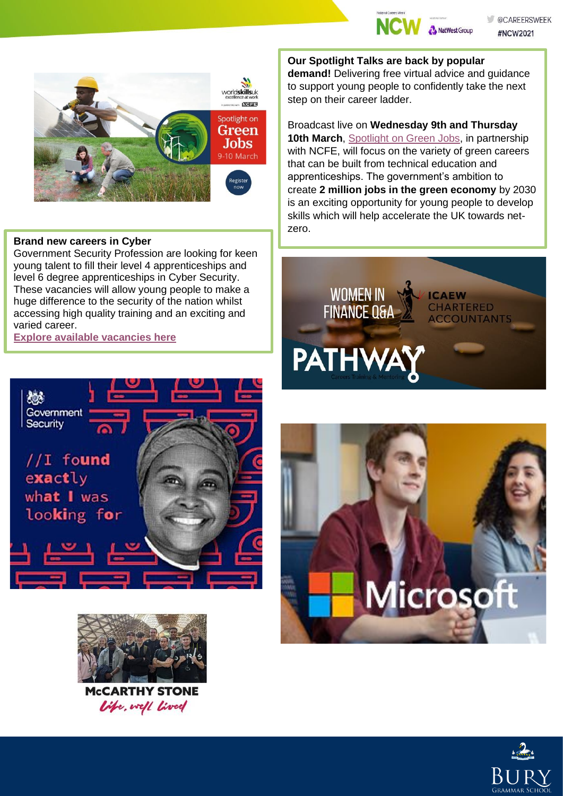



#### **Brand new careers in Cyber**

Government Security Profession are looking for keen young talent to fill their level 4 apprenticeships and level 6 degree apprenticeships in Cyber Security. These vacancies will allow young people to make a huge difference to the security of the nation whilst accessing high quality training and an exciting and varied career.

#### **[Explore available vacancies here](https://content.thetalentportal.co.uk/e3t/Btc/ON+113/cpD0d04/VX7XLv2SZ2h0W4bdxhl32Sj8tW61z83B4FXm63N8pR4BZ5nCVBV3Zsc37Cg-mjN3bHYVP2BMG2W5y8QPC71P8Q-W7rt-ZV2H3rvYW3DVjxp6MbPGXW81WjY71C-Z64W4SDp9K2NBD-MM6Ff9RPkQSgVjBgQC1HDPdbW8bYK_v7LHrNLW1B94sW8SJVHGW8rqgng85RPCsN3hnS2FMpcXnW49YTY75hNrZDW8scYqT5sLdNgW23fwgX1Z5FtzW7MTmV_6102MnW7Hc5lr2zB3QYW2bL7rN3y7jqLVbsbpL3JV8hXW4h2S7J1nx59FW5l10Vb4VlTrNV9_wj44C6KrlW2GCwld7MTZkDW7Zr0548YFPp8W4PYdv_1VZj02W4nG7PV8vbdJ8N8h79nVyv71xN56p0VXg5WW0N3mR7HY9F1R8W34jk9f5wgVG8W1vwWf72lVRp1W1b8khL4P-jZyW317lXC8CM-KMW4hyJcX893w-RW99rdwH810qv-W5rPp7y5pQ9yXW57vsXW4F0M6-W8ctqdL1QW-Cb3f951)**

**Our Spotlight Talks are back by popular** 

**demand!** Delivering free virtual advice and guidance to support young people to confidently take the next step on their career ladder.

Broadcast live on **Wednesday 9th and Thursday 10th March**, [Spotlight on Green Jobs,](https://worldskillsuk.us6.list-manage.com/track/click?u=119f6fa8a15eeff15872a76e5&id=b469b9ce31&e=0e88e7fa89) in partnership with NCFE, will focus on the variety of green careers that can be built from technical education and apprenticeships. The government's ambition to create **2 million jobs in the green economy** by 2030 is an exciting opportunity for young people to develop skills which will help accelerate the UK towards netzero.







**MCCARTHY STONE** Vife, well lived



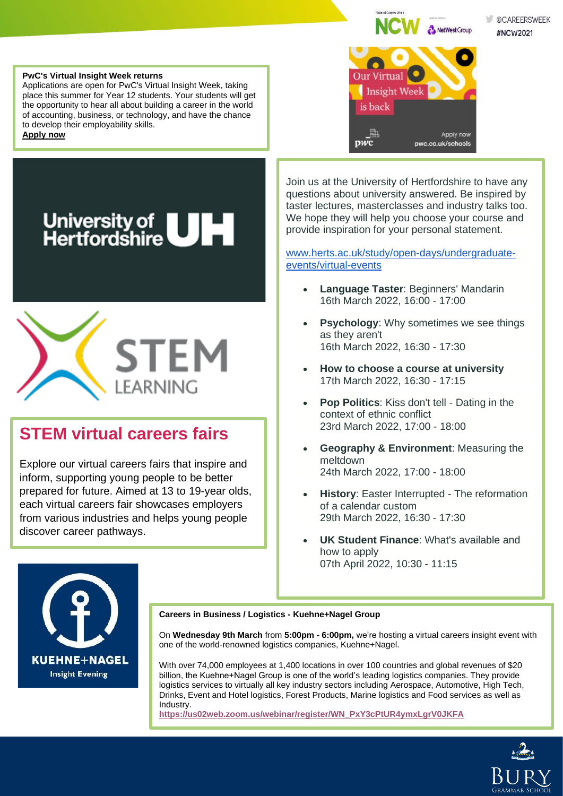NatWest Group

Apply now

pwc.co.uk/schools

**Our Virtual** 

is back

勖

pwc

Insight Week

@CAREERSWEEK #NCW2021

#### **PwC's Virtual Insight Week returns**

Applications are open for PwC's Virtual Insight Week, taking place this summer for Year 12 students. Your students will get the opportunity to hear all about building a career in the world of accounting, business, or technology, and have the chance to develop their employability skills.

**[Apply now](https://content.thetalentportal.co.uk/e3t/Btc/ON+113/cpD0d04/VX7XLv2SZ2h0W4bdxhl32Sj8tW61z83B4FXm63N8pR4Cf3q3nJV1-WJV7CgMt_W7spYzR3qmXPKN75nplKWTk2cW8RQh4J1gNQkLW29LGKd1Lz-5TW9bKF_B4pmhPYW3xsJkR3lrGyJW4mvKth1M8dFMW60Xrb38HmTC4W5139WN933XxjW7DxKb74vMc4ZW1kTyK08n0HfjW6xDlkb9fNSRJW7Y3TmC1K_ypqW1_JMLy93LTywW8mqX637_K15XVWqzv57yL8qtW6kgqzC1VGGn2W7cHm__61Bjj8W4NLjKd4wYlyCW68DmBj7zftLhMG0F4xvXtVgW9dH3J75yHFSTW7BZ4Qy9g-VMwW4t5H_z3h7zGm3lr-1)**





### **STEM virtual careers fairs**

Explore our virtual careers fairs that inspire and inform, supporting young people to be better prepared for future. Aimed at 13 to 19-year olds, each virtual careers fair showcases employers from various industries and helps young people discover career pathways.

Join us at the University of Hertfordshire to have any questions about university answered. Be inspired by taster lectures, masterclasses and industry talks too. We hope they will help you choose your course and provide inspiration for your personal statement.

[www.herts.ac.uk/study/open-days/undergraduate](http://herts.askadmissions.co.uk/admin/Communications/ClickThru.aspx?qs=_vFj2nfd933byQBqVRzc8bWrtv7dZI-0KcdYsjo6Qtljz43r5Sn9ztHYDjeJAJVI8)[events/virtual-events](http://herts.askadmissions.co.uk/admin/Communications/ClickThru.aspx?qs=_vFj2nfd933byQBqVRzc8bWrtv7dZI-0KcdYsjo6Qtljz43r5Sn9ztHYDjeJAJVI8)

- **Language Taster**: Beginners' Mandarin 16th March 2022, 16:00 - 17:00
- **Psychology:** Why sometimes we see things as they aren't 16th March 2022, 16:30 - 17:30
- **How to choose a course at university** 17th March 2022, 16:30 - 17:15
- **Pop Politics:** Kiss don't tell Dating in the context of ethnic conflict 23rd March 2022, 17:00 - 18:00
- **Geography & Environment**: Measuring the meltdown 24th March 2022, 17:00 - 18:00
- **History: Easter Interrupted The reformation** of a calendar custom 29th March 2022, 16:30 - 17:30
- **UK Student Finance**: What's available and how to apply 07th April 2022, 10:30 - 11:15



**Careers in Business / Logistics - Kuehne+Nagel Group**

On **Wednesday 9th March** from **5:00pm - 6:00pm,** we're hosting a virtual careers insight event with one of the world-renowned logistics companies, Kuehne+Nagel.

With over 74,000 employees at 1,400 locations in over 100 countries and global revenues of \$20 billion, the Kuehne+Nagel Group is one of the world's leading logistics companies. They provide logistics services to virtually all key industry sectors including Aerospace, Automotive, High Tech, Drinks, Event and Hotel logistics, Forest Products, Marine logistics and Food services as well as Industry.

**[https://us02web.zoom.us/webinar/register/WN\\_PxY3cPtUR4ymxLgrV0JKFA](https://us02web.zoom.us/webinar/register/WN_PxY3cPtUR4ymxLgrV0JKFA)**